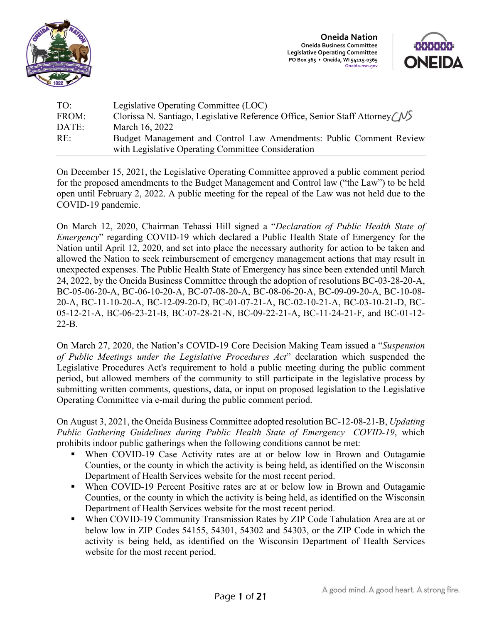

**Oneida Nation Oneida Business Committee Legislative Operating Committee PO Box 365 • Oneida, WI 54115-0365 Oneida-nsn.gov** 



| TO:   | Legislative Operating Committee (LOC)                                     |
|-------|---------------------------------------------------------------------------|
| FROM: | Clorissa N. Santiago, Legislative Reference Office, Senior Staff Attorney |
| DATE: | March 16, 2022                                                            |
| RE:   | Budget Management and Control Law Amendments: Public Comment Review       |
|       | with Legislative Operating Committee Consideration                        |

On December 15, 2021, the Legislative Operating Committee approved a public comment period for the proposed amendments to the Budget Management and Control law ("the Law") to be held open until February 2, 2022. A public meeting for the repeal of the Law was not held due to the COVID-19 pandemic.

On March 12, 2020, Chairman Tehassi Hill signed a "*Declaration of Public Health State of Emergency*" regarding COVID-19 which declared a Public Health State of Emergency for the Nation until April 12, 2020, and set into place the necessary authority for action to be taken and allowed the Nation to seek reimbursement of emergency management actions that may result in unexpected expenses. The Public Health State of Emergency has since been extended until March 24, 2022, by the Oneida Business Committee through the adoption of resolutions BC-03-28-20-A, BC-05-06-20-A, BC-06-10-20-A, BC-07-08-20-A, BC-08-06-20-A, BC-09-09-20-A, BC-10-08- 20-A, BC-11-10-20-A, BC-12-09-20-D, BC-01-07-21-A, BC-02-10-21-A, BC-03-10-21-D, BC-05-12-21-A, BC-06-23-21-B, BC-07-28-21-N, BC-09-22-21-A, BC-11-24-21-F, and BC-01-12- 22-B.

On March 27, 2020, the Nation's COVID-19 Core Decision Making Team issued a "*Suspension of Public Meetings under the Legislative Procedures Act*" declaration which suspended the Legislative Procedures Act's requirement to hold a public meeting during the public comment period, but allowed members of the community to still participate in the legislative process by submitting written comments, questions, data, or input on proposed legislation to the Legislative Operating Committee via e-mail during the public comment period.

On August 3, 2021, the Oneida Business Committee adopted resolution BC-12-08-21-B, *Updating Public Gathering Guidelines during Public Health State of Emergency—COVID-19*, which prohibits indoor public gatherings when the following conditions cannot be met:

- When COVID-19 Case Activity rates are at or below low in Brown and Outagamie Counties, or the county in which the activity is being held, as identified on the Wisconsin Department of Health Services website for the most recent period.
- When COVID-19 Percent Positive rates are at or below low in Brown and Outagamie Counties, or the county in which the activity is being held, as identified on the Wisconsin Department of Health Services website for the most recent period.
- When COVID-19 Community Transmission Rates by ZIP Code Tabulation Area are at or below low in ZIP Codes 54155, 54301, 54302 and 54303, or the ZIP Code in which the activity is being held, as identified on the Wisconsin Department of Health Services website for the most recent period.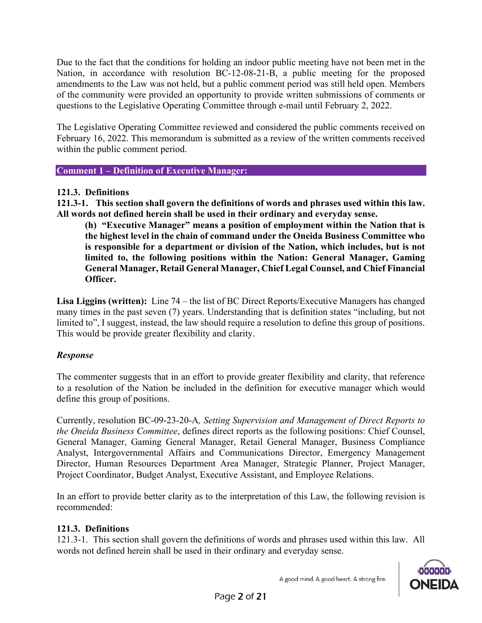Due to the fact that the conditions for holding an indoor public meeting have not been met in the Nation, in accordance with resolution BC-12-08-21-B, a public meeting for the proposed amendments to the Law was not held, but a public comment period was still held open. Members of the community were provided an opportunity to provide written submissions of comments or questions to the Legislative Operating Committee through e-mail until February 2, 2022.

The Legislative Operating Committee reviewed and considered the public comments received on February 16, 2022. This memorandum is submitted as a review of the written comments received within the public comment period.

**Comment 1 – Definition of Executive Manager:**

### **121.3. Definitions**

**121.3-1. This section shall govern the definitions of words and phrases used within this law. All words not defined herein shall be used in their ordinary and everyday sense.**

**(h) "Executive Manager" means a position of employment within the Nation that is the highest level in the chain of command under the Oneida Business Committee who is responsible for a department or division of the Nation, which includes, but is not limited to, the following positions within the Nation: General Manager, Gaming General Manager, Retail General Manager, Chief Legal Counsel, and Chief Financial Officer.**

**Lisa Liggins (written):** Line 74 – the list of BC Direct Reports/Executive Managers has changed many times in the past seven (7) years. Understanding that is definition states "including, but not limited to", I suggest, instead, the law should require a resolution to define this group of positions. This would be provide greater flexibility and clarity.

### *Response*

The commenter suggests that in an effort to provide greater flexibility and clarity, that reference to a resolution of the Nation be included in the definition for executive manager which would define this group of positions.

Currently, resolution BC-09-23-20-A*, Setting Supervision and Management of Direct Reports to the Oneida Business Committee*, defines direct reports as the following positions: Chief Counsel, General Manager, Gaming General Manager, Retail General Manager, Business Compliance Analyst, Intergovernmental Affairs and Communications Director, Emergency Management Director, Human Resources Department Area Manager, Strategic Planner, Project Manager, Project Coordinator, Budget Analyst, Executive Assistant, and Employee Relations.

In an effort to provide better clarity as to the interpretation of this Law, the following revision is recommended:

### **121.3. Definitions**

121.3-1. This section shall govern the definitions of words and phrases used within this law. All words not defined herein shall be used in their ordinary and everyday sense.



A good mind. A good heart. A strong fire.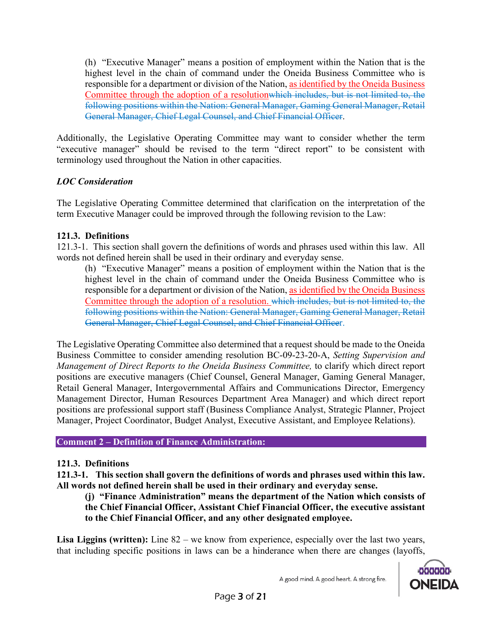(h) "Executive Manager" means a position of employment within the Nation that is the highest level in the chain of command under the Oneida Business Committee who is responsible for a department or division of the Nation, as identified by the Oneida Business Committee through the adoption of a resolutionwhich includes, but is not limited to, the following positions within the Nation: General Manager, Gaming General Manager, Retail General Manager, Chief Legal Counsel, and Chief Financial Officer.

Additionally, the Legislative Operating Committee may want to consider whether the term "executive manager" should be revised to the term "direct report" to be consistent with terminology used throughout the Nation in other capacities.

## *LOC Consideration*

The Legislative Operating Committee determined that clarification on the interpretation of the term Executive Manager could be improved through the following revision to the Law:

### **121.3. Definitions**

121.3-1. This section shall govern the definitions of words and phrases used within this law. All words not defined herein shall be used in their ordinary and everyday sense.

(h) "Executive Manager" means a position of employment within the Nation that is the highest level in the chain of command under the Oneida Business Committee who is responsible for a department or division of the Nation, as identified by the Oneida Business Committee through the adoption of a resolution. which includes, but is not limited to, the following positions within the Nation: General Manager, Gaming General Manager, Retail General Manager, Chief Legal Counsel, and Chief Financial Officer.

The Legislative Operating Committee also determined that a request should be made to the Oneida Business Committee to consider amending resolution BC-09-23-20-A, *Setting Supervision and Management of Direct Reports to the Oneida Business Committee,* to clarify which direct report positions are executive managers (Chief Counsel, General Manager, Gaming General Manager, Retail General Manager, Intergovernmental Affairs and Communications Director, Emergency Management Director, Human Resources Department Area Manager) and which direct report positions are professional support staff (Business Compliance Analyst, Strategic Planner, Project Manager, Project Coordinator, Budget Analyst, Executive Assistant, and Employee Relations).

#### **Comment 2 – Definition of Finance Administration:**

### **121.3. Definitions**

**121.3-1. This section shall govern the definitions of words and phrases used within this law. All words not defined herein shall be used in their ordinary and everyday sense.**

**(j) "Finance Administration" means the department of the Nation which consists of the Chief Financial Officer, Assistant Chief Financial Officer, the executive assistant to the Chief Financial Officer, and any other designated employee.**

**Lisa Liggins (written):** Line 82 – we know from experience, especially over the last two years, that including specific positions in laws can be a hinderance when there are changes (layoffs,

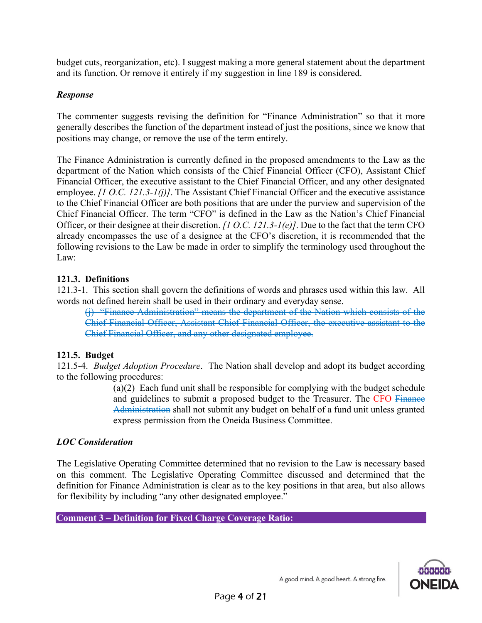budget cuts, reorganization, etc). I suggest making a more general statement about the department and its function. Or remove it entirely if my suggestion in line 189 is considered.

### *Response*

The commenter suggests revising the definition for "Finance Administration" so that it more generally describes the function of the department instead of just the positions, since we know that positions may change, or remove the use of the term entirely.

The Finance Administration is currently defined in the proposed amendments to the Law as the department of the Nation which consists of the Chief Financial Officer (CFO), Assistant Chief Financial Officer, the executive assistant to the Chief Financial Officer, and any other designated employee. *[1 O.C. 121.3-1(j)]*. The Assistant Chief Financial Officer and the executive assistance to the Chief Financial Officer are both positions that are under the purview and supervision of the Chief Financial Officer. The term "CFO" is defined in the Law as the Nation's Chief Financial Officer, or their designee at their discretion. *[1 O.C. 121.3-1(e)]*. Due to the fact that the term CFO already encompasses the use of a designee at the CFO's discretion, it is recommended that the following revisions to the Law be made in order to simplify the terminology used throughout the Law:

## **121.3. Definitions**

121.3-1. This section shall govern the definitions of words and phrases used within this law. All words not defined herein shall be used in their ordinary and everyday sense.

(j) "Finance Administration" means the department of the Nation which consists of the Chief Financial Officer, Assistant Chief Financial Officer, the executive assistant to the Chief Financial Officer, and any other designated employee.

# **121.5. Budget**

121.5-4. *Budget Adoption Procedure*. The Nation shall develop and adopt its budget according to the following procedures:

> (a)(2) Each fund unit shall be responsible for complying with the budget schedule and guidelines to submit a proposed budget to the Treasurer. The CFO Finance Administration shall not submit any budget on behalf of a fund unit unless granted express permission from the Oneida Business Committee.

### *LOC Consideration*

The Legislative Operating Committee determined that no revision to the Law is necessary based on this comment. The Legislative Operating Committee discussed and determined that the definition for Finance Administration is clear as to the key positions in that area, but also allows for flexibility by including "any other designated employee."

**Comment 3 – Definition for Fixed Charge Coverage Ratio:**

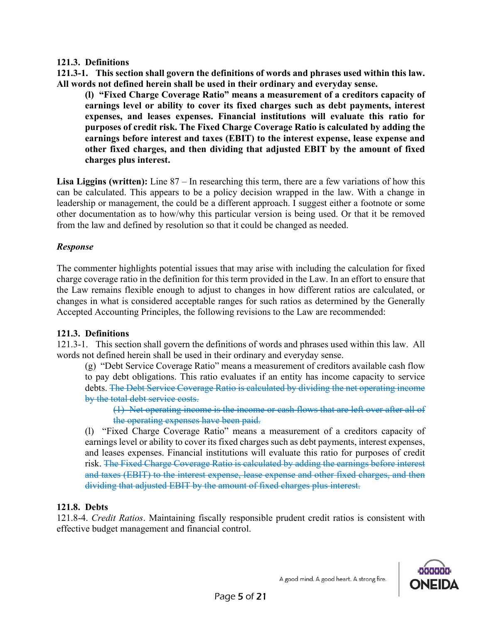### **121.3. Definitions**

**121.3-1. This section shall govern the definitions of words and phrases used within this law. All words not defined herein shall be used in their ordinary and everyday sense.**

**(l) "Fixed Charge Coverage Ratio" means a measurement of a creditors capacity of earnings level or ability to cover its fixed charges such as debt payments, interest expenses, and leases expenses. Financial institutions will evaluate this ratio for purposes of credit risk. The Fixed Charge Coverage Ratio is calculated by adding the earnings before interest and taxes (EBIT) to the interest expense, lease expense and other fixed charges, and then dividing that adjusted EBIT by the amount of fixed charges plus interest.** 

**Lisa Liggins (written):** Line 87 – In researching this term, there are a few variations of how this can be calculated. This appears to be a policy decision wrapped in the law. With a change in leadership or management, the could be a different approach. I suggest either a footnote or some other documentation as to how/why this particular version is being used. Or that it be removed from the law and defined by resolution so that it could be changed as needed.

### *Response*

The commenter highlights potential issues that may arise with including the calculation for fixed charge coverage ratio in the definition for this term provided in the Law. In an effort to ensure that the Law remains flexible enough to adjust to changes in how different ratios are calculated, or changes in what is considered acceptable ranges for such ratios as determined by the Generally Accepted Accounting Principles, the following revisions to the Law are recommended:

### **121.3. Definitions**

121.3-1. This section shall govern the definitions of words and phrases used within this law. All words not defined herein shall be used in their ordinary and everyday sense.

(g) "Debt Service Coverage Ratio" means a measurement of creditors available cash flow to pay debt obligations. This ratio evaluates if an entity has income capacity to service debts. The Debt Service Coverage Ratio is calculated by dividing the net operating income by the total debt service costs.

(1) Net operating income is the income or cash flows that are left over after all of the operating expenses have been paid.

(l) "Fixed Charge Coverage Ratio" means a measurement of a creditors capacity of earnings level or ability to cover its fixed charges such as debt payments, interest expenses, and leases expenses. Financial institutions will evaluate this ratio for purposes of credit risk. The Fixed Charge Coverage Ratio is calculated by adding the earnings before interest and taxes (EBIT) to the interest expense, lease expense and other fixed charges, and then dividing that adjusted EBIT by the amount of fixed charges plus interest.

### **121.8. Debts**

121.8-4. *Credit Ratios*. Maintaining fiscally responsible prudent credit ratios is consistent with effective budget management and financial control.

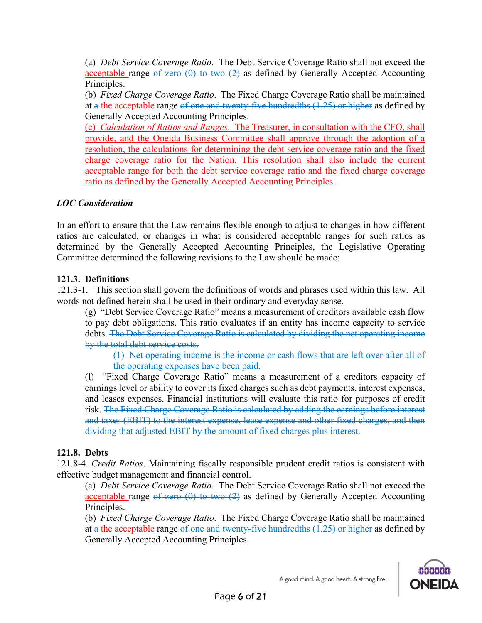(a) *Debt Service Coverage Ratio*. The Debt Service Coverage Ratio shall not exceed the acceptable range of zero  $(0)$  to two  $(2)$  as defined by Generally Accepted Accounting Principles.

(b) *Fixed Charge Coverage Ratio*. The Fixed Charge Coverage Ratio shall be maintained at a the acceptable range of one and twenty-five hundredths (1.25) or higher as defined by Generally Accepted Accounting Principles.

(c) *Calculation of Ratios and Ranges*. The Treasurer, in consultation with the CFO, shall provide, and the Oneida Business Committee shall approve through the adoption of a resolution, the calculations for determining the debt service coverage ratio and the fixed charge coverage ratio for the Nation. This resolution shall also include the current acceptable range for both the debt service coverage ratio and the fixed charge coverage ratio as defined by the Generally Accepted Accounting Principles.

## *LOC Consideration*

In an effort to ensure that the Law remains flexible enough to adjust to changes in how different ratios are calculated, or changes in what is considered acceptable ranges for such ratios as determined by the Generally Accepted Accounting Principles, the Legislative Operating Committee determined the following revisions to the Law should be made:

### **121.3. Definitions**

121.3-1. This section shall govern the definitions of words and phrases used within this law. All words not defined herein shall be used in their ordinary and everyday sense.

(g) "Debt Service Coverage Ratio" means a measurement of creditors available cash flow to pay debt obligations. This ratio evaluates if an entity has income capacity to service debts. The Debt Service Coverage Ratio is calculated by dividing the net operating income by the total debt service costs.

(1) Net operating income is the income or cash flows that are left over after all of the operating expenses have been paid.

(l) "Fixed Charge Coverage Ratio" means a measurement of a creditors capacity of earnings level or ability to cover its fixed charges such as debt payments, interest expenses, and leases expenses. Financial institutions will evaluate this ratio for purposes of credit risk. The Fixed Charge Coverage Ratio is calculated by adding the earnings before interest and taxes (EBIT) to the interest expense, lease expense and other fixed charges, and then dividing that adjusted EBIT by the amount of fixed charges plus interest.

### **121.8. Debts**

121.8-4. *Credit Ratios*. Maintaining fiscally responsible prudent credit ratios is consistent with effective budget management and financial control.

(a) *Debt Service Coverage Ratio*. The Debt Service Coverage Ratio shall not exceed the acceptable range  $\theta$  zero  $(0)$  to two  $(2)$  as defined by Generally Accepted Accounting Principles.

(b) *Fixed Charge Coverage Ratio*. The Fixed Charge Coverage Ratio shall be maintained

at a the acceptable range of one and twenty-five hundredths  $(1.25)$  or higher as defined by Generally Accepted Accounting Principles.

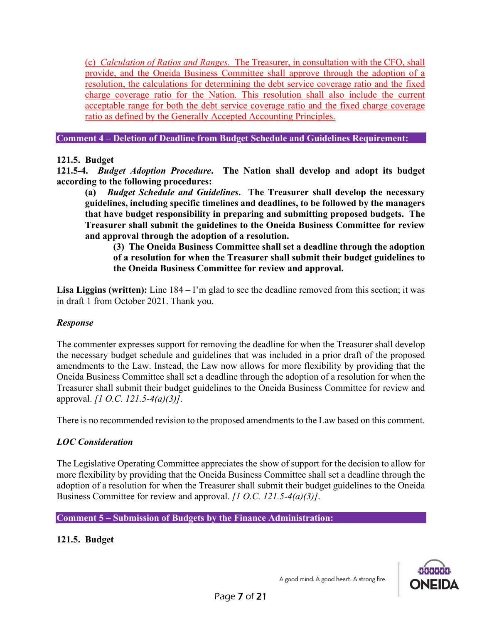(c) *Calculation of Ratios and Ranges*. The Treasurer, in consultation with the CFO, shall provide, and the Oneida Business Committee shall approve through the adoption of a resolution, the calculations for determining the debt service coverage ratio and the fixed charge coverage ratio for the Nation. This resolution shall also include the current acceptable range for both the debt service coverage ratio and the fixed charge coverage ratio as defined by the Generally Accepted Accounting Principles.

**Comment 4 – Deletion of Deadline from Budget Schedule and Guidelines Requirement:**

### **121.5. Budget**

**121.5-4.** *Budget Adoption Procedure***. The Nation shall develop and adopt its budget according to the following procedures:**

**(a)** *Budget Schedule and Guidelines***. The Treasurer shall develop the necessary guidelines, including specific timelines and deadlines, to be followed by the managers that have budget responsibility in preparing and submitting proposed budgets. The Treasurer shall submit the guidelines to the Oneida Business Committee for review and approval through the adoption of a resolution.**

**(3) The Oneida Business Committee shall set a deadline through the adoption of a resolution for when the Treasurer shall submit their budget guidelines to the Oneida Business Committee for review and approval.**

**Lisa Liggins (written):** Line 184 – I'm glad to see the deadline removed from this section; it was in draft 1 from October 2021. Thank you.

### *Response*

The commenter expresses support for removing the deadline for when the Treasurer shall develop the necessary budget schedule and guidelines that was included in a prior draft of the proposed amendments to the Law. Instead, the Law now allows for more flexibility by providing that the Oneida Business Committee shall set a deadline through the adoption of a resolution for when the Treasurer shall submit their budget guidelines to the Oneida Business Committee for review and approval. *[1 O.C. 121.5-4(a)(3)]*.

There is no recommended revision to the proposed amendments to the Law based on this comment.

# *LOC Consideration*

The Legislative Operating Committee appreciates the show of support for the decision to allow for more flexibility by providing that the Oneida Business Committee shall set a deadline through the adoption of a resolution for when the Treasurer shall submit their budget guidelines to the Oneida Business Committee for review and approval. *[1 O.C. 121.5-4(a)(3)]*.

#### **Comment 5 – Submission of Budgets by the Finance Administration:**

### **121.5. Budget**

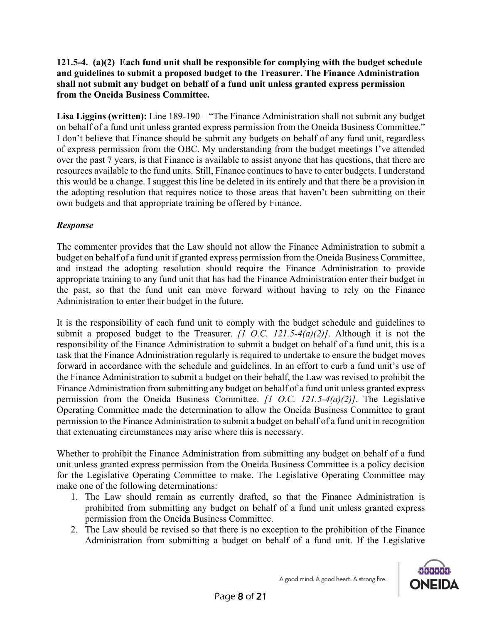**121.5-4. (a)(2) Each fund unit shall be responsible for complying with the budget schedule and guidelines to submit a proposed budget to the Treasurer. The Finance Administration shall not submit any budget on behalf of a fund unit unless granted express permission from the Oneida Business Committee.**

**Lisa Liggins (written):** Line 189-190 – "The Finance Administration shall not submit any budget on behalf of a fund unit unless granted express permission from the Oneida Business Committee." I don't believe that Finance should be submit any budgets on behalf of any fund unit, regardless of express permission from the OBC. My understanding from the budget meetings I've attended over the past 7 years, is that Finance is available to assist anyone that has questions, that there are resources available to the fund units. Still, Finance continues to have to enter budgets. I understand this would be a change. I suggest this line be deleted in its entirely and that there be a provision in the adopting resolution that requires notice to those areas that haven't been submitting on their own budgets and that appropriate training be offered by Finance.

## *Response*

The commenter provides that the Law should not allow the Finance Administration to submit a budget on behalf of a fund unit if granted express permission from the Oneida Business Committee, and instead the adopting resolution should require the Finance Administration to provide appropriate training to any fund unit that has had the Finance Administration enter their budget in the past, so that the fund unit can move forward without having to rely on the Finance Administration to enter their budget in the future.

It is the responsibility of each fund unit to comply with the budget schedule and guidelines to submit a proposed budget to the Treasurer. *[1 O.C. 121.5-4(a)(2)]*. Although it is not the responsibility of the Finance Administration to submit a budget on behalf of a fund unit, this is a task that the Finance Administration regularly is required to undertake to ensure the budget moves forward in accordance with the schedule and guidelines. In an effort to curb a fund unit's use of the Finance Administration to submit a budget on their behalf, the Law was revised to prohibit the Finance Administration from submitting any budget on behalf of a fund unit unless granted express permission from the Oneida Business Committee. *[1 O.C. 121.5-4(a)(2)]*. The Legislative Operating Committee made the determination to allow the Oneida Business Committee to grant permission to the Finance Administration to submit a budget on behalf of a fund unit in recognition that extenuating circumstances may arise where this is necessary.

Whether to prohibit the Finance Administration from submitting any budget on behalf of a fund unit unless granted express permission from the Oneida Business Committee is a policy decision for the Legislative Operating Committee to make. The Legislative Operating Committee may make one of the following determinations:

- 1. The Law should remain as currently drafted, so that the Finance Administration is prohibited from submitting any budget on behalf of a fund unit unless granted express permission from the Oneida Business Committee.
- 2. The Law should be revised so that there is no exception to the prohibition of the Finance Administration from submitting a budget on behalf of a fund unit. If the Legislative

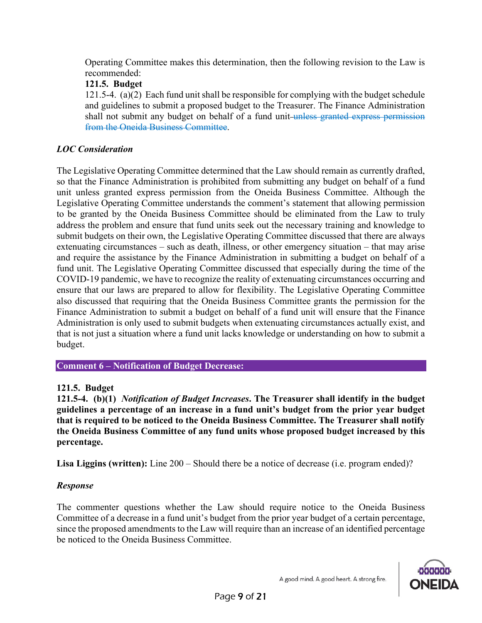Operating Committee makes this determination, then the following revision to the Law is recommended:

### **121.5. Budget**

121.5-4. (a)(2) Each fund unit shall be responsible for complying with the budget schedule and guidelines to submit a proposed budget to the Treasurer. The Finance Administration shall not submit any budget on behalf of a fund unit unless granted express permission from the Oneida Business Committee.

## *LOC Consideration*

The Legislative Operating Committee determined that the Law should remain as currently drafted, so that the Finance Administration is prohibited from submitting any budget on behalf of a fund unit unless granted express permission from the Oneida Business Committee. Although the Legislative Operating Committee understands the comment's statement that allowing permission to be granted by the Oneida Business Committee should be eliminated from the Law to truly address the problem and ensure that fund units seek out the necessary training and knowledge to submit budgets on their own, the Legislative Operating Committee discussed that there are always extenuating circumstances – such as death, illness, or other emergency situation – that may arise and require the assistance by the Finance Administration in submitting a budget on behalf of a fund unit. The Legislative Operating Committee discussed that especially during the time of the COVID-19 pandemic, we have to recognize the reality of extenuating circumstances occurring and ensure that our laws are prepared to allow for flexibility. The Legislative Operating Committee also discussed that requiring that the Oneida Business Committee grants the permission for the Finance Administration to submit a budget on behalf of a fund unit will ensure that the Finance Administration is only used to submit budgets when extenuating circumstances actually exist, and that is not just a situation where a fund unit lacks knowledge or understanding on how to submit a budget.

**Comment 6 – Notification of Budget Decrease:**

### **121.5. Budget**

**121.5-4. (b)(1)** *Notification of Budget Increases***. The Treasurer shall identify in the budget guidelines a percentage of an increase in a fund unit's budget from the prior year budget that is required to be noticed to the Oneida Business Committee. The Treasurer shall notify the Oneida Business Committee of any fund units whose proposed budget increased by this percentage.**

**Lisa Liggins (written):** Line 200 – Should there be a notice of decrease (i.e. program ended)?

### *Response*

The commenter questions whether the Law should require notice to the Oneida Business Committee of a decrease in a fund unit's budget from the prior year budget of a certain percentage, since the proposed amendments to the Law will require than an increase of an identified percentage be noticed to the Oneida Business Committee.

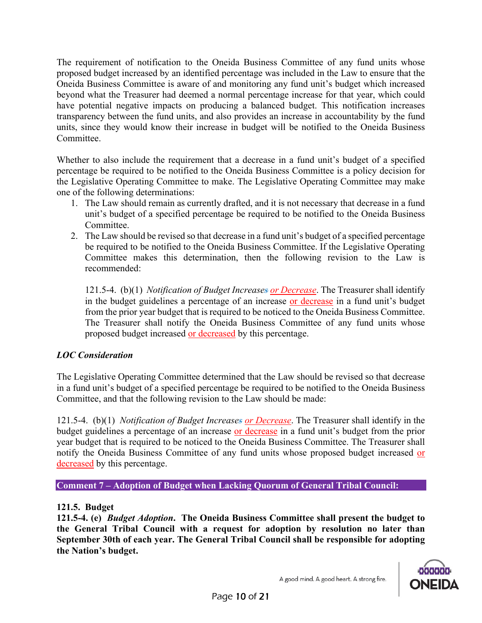The requirement of notification to the Oneida Business Committee of any fund units whose proposed budget increased by an identified percentage was included in the Law to ensure that the Oneida Business Committee is aware of and monitoring any fund unit's budget which increased beyond what the Treasurer had deemed a normal percentage increase for that year, which could have potential negative impacts on producing a balanced budget. This notification increases transparency between the fund units, and also provides an increase in accountability by the fund units, since they would know their increase in budget will be notified to the Oneida Business Committee.

Whether to also include the requirement that a decrease in a fund unit's budget of a specified percentage be required to be notified to the Oneida Business Committee is a policy decision for the Legislative Operating Committee to make. The Legislative Operating Committee may make one of the following determinations:

- 1. The Law should remain as currently drafted, and it is not necessary that decrease in a fund unit's budget of a specified percentage be required to be notified to the Oneida Business Committee.
- 2. The Law should be revised so that decrease in a fund unit's budget of a specified percentage be required to be notified to the Oneida Business Committee. If the Legislative Operating Committee makes this determination, then the following revision to the Law is recommended:

121.5-4. (b)(1) *Notification of Budget Increases or Decrease*. The Treasurer shall identify in the budget guidelines a percentage of an increase or decrease in a fund unit's budget from the prior year budget that is required to be noticed to the Oneida Business Committee. The Treasurer shall notify the Oneida Business Committee of any fund units whose proposed budget increased or decreased by this percentage.

# *LOC Consideration*

The Legislative Operating Committee determined that the Law should be revised so that decrease in a fund unit's budget of a specified percentage be required to be notified to the Oneida Business Committee, and that the following revision to the Law should be made:

121.5-4. (b)(1) *Notification of Budget Increases or Decrease*. The Treasurer shall identify in the budget guidelines a percentage of an increase or decrease in a fund unit's budget from the prior year budget that is required to be noticed to the Oneida Business Committee. The Treasurer shall notify the Oneida Business Committee of any fund units whose proposed budget increased or decreased by this percentage.

**Comment 7 – Adoption of Budget when Lacking Quorum of General Tribal Council:**

# **121.5. Budget**

**121.5-4. (e)** *Budget Adoption***. The Oneida Business Committee shall present the budget to the General Tribal Council with a request for adoption by resolution no later than September 30th of each year. The General Tribal Council shall be responsible for adopting the Nation's budget.**

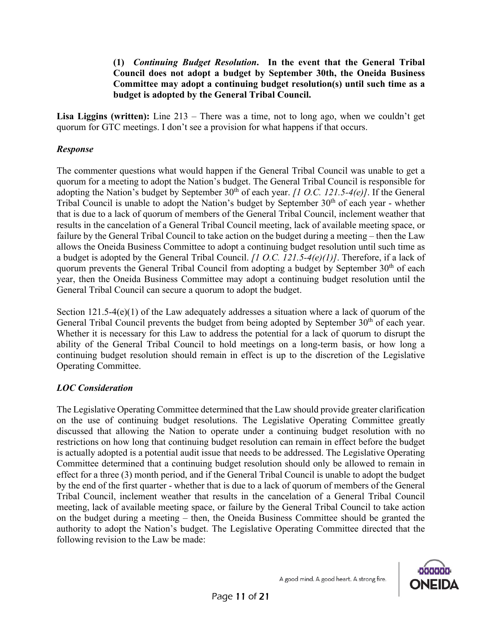**(1)** *Continuing Budget Resolution***. In the event that the General Tribal Council does not adopt a budget by September 30th, the Oneida Business Committee may adopt a continuing budget resolution(s) until such time as a budget is adopted by the General Tribal Council.**

**Lisa Liggins (written):** Line 213 – There was a time, not to long ago, when we couldn't get quorum for GTC meetings. I don't see a provision for what happens if that occurs.

### *Response*

The commenter questions what would happen if the General Tribal Council was unable to get a quorum for a meeting to adopt the Nation's budget. The General Tribal Council is responsible for adopting the Nation's budget by September 30<sup>th</sup> of each year. *[1 O.C. 121.5-4(e)]*. If the General Tribal Council is unable to adopt the Nation's budget by September  $30<sup>th</sup>$  of each year - whether that is due to a lack of quorum of members of the General Tribal Council, inclement weather that results in the cancelation of a General Tribal Council meeting, lack of available meeting space, or failure by the General Tribal Council to take action on the budget during a meeting – then the Law allows the Oneida Business Committee to adopt a continuing budget resolution until such time as a budget is adopted by the General Tribal Council. *[1 O.C. 121.5-4(e)(1)]*. Therefore, if a lack of quorum prevents the General Tribal Council from adopting a budget by September 30<sup>th</sup> of each year, then the Oneida Business Committee may adopt a continuing budget resolution until the General Tribal Council can secure a quorum to adopt the budget.

Section 121.5-4(e)(1) of the Law adequately addresses a situation where a lack of quorum of the General Tribal Council prevents the budget from being adopted by September 30<sup>th</sup> of each year. Whether it is necessary for this Law to address the potential for a lack of quorum to disrupt the ability of the General Tribal Council to hold meetings on a long-term basis, or how long a continuing budget resolution should remain in effect is up to the discretion of the Legislative Operating Committee.

# *LOC Consideration*

The Legislative Operating Committee determined that the Law should provide greater clarification on the use of continuing budget resolutions. The Legislative Operating Committee greatly discussed that allowing the Nation to operate under a continuing budget resolution with no restrictions on how long that continuing budget resolution can remain in effect before the budget is actually adopted is a potential audit issue that needs to be addressed. The Legislative Operating Committee determined that a continuing budget resolution should only be allowed to remain in effect for a three (3) month period, and if the General Tribal Council is unable to adopt the budget by the end of the first quarter - whether that is due to a lack of quorum of members of the General Tribal Council, inclement weather that results in the cancelation of a General Tribal Council meeting, lack of available meeting space, or failure by the General Tribal Council to take action on the budget during a meeting – then, the Oneida Business Committee should be granted the authority to adopt the Nation's budget. The Legislative Operating Committee directed that the following revision to the Law be made:

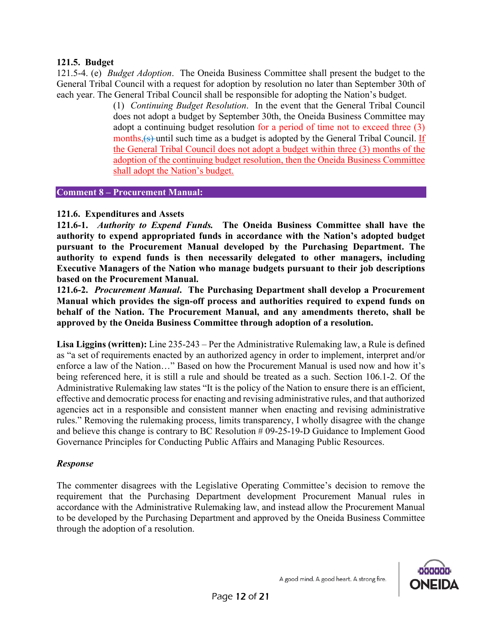#### **121.5. Budget**

121.5-4. (e) *Budget Adoption*. The Oneida Business Committee shall present the budget to the General Tribal Council with a request for adoption by resolution no later than September 30th of each year. The General Tribal Council shall be responsible for adopting the Nation's budget.

(1) *Continuing Budget Resolution*. In the event that the General Tribal Council does not adopt a budget by September 30th, the Oneida Business Committee may adopt a continuing budget resolution for a period of time not to exceed three (3) months, (s) until such time as a budget is adopted by the General Tribal Council. If the General Tribal Council does not adopt a budget within three (3) months of the adoption of the continuing budget resolution, then the Oneida Business Committee shall adopt the Nation's budget.

#### **Comment 8 – Procurement Manual:**

### **121.6. Expenditures and Assets**

**121.6-1.** *Authority to Expend Funds.* **The Oneida Business Committee shall have the authority to expend appropriated funds in accordance with the Nation's adopted budget pursuant to the Procurement Manual developed by the Purchasing Department. The authority to expend funds is then necessarily delegated to other managers, including Executive Managers of the Nation who manage budgets pursuant to their job descriptions based on the Procurement Manual.** 

**121.6-2.** *Procurement Manual***. The Purchasing Department shall develop a Procurement Manual which provides the sign-off process and authorities required to expend funds on behalf of the Nation. The Procurement Manual, and any amendments thereto, shall be approved by the Oneida Business Committee through adoption of a resolution.** 

**Lisa Liggins (written):** Line 235-243 – Per the Administrative Rulemaking law, a Rule is defined as "a set of requirements enacted by an authorized agency in order to implement, interpret and/or enforce a law of the Nation…" Based on how the Procurement Manual is used now and how it's being referenced here, it is still a rule and should be treated as a such. Section 106.1-2. Of the Administrative Rulemaking law states "It is the policy of the Nation to ensure there is an efficient, effective and democratic process for enacting and revising administrative rules, and that authorized agencies act in a responsible and consistent manner when enacting and revising administrative rules." Removing the rulemaking process, limits transparency, I wholly disagree with the change and believe this change is contrary to BC Resolution # 09-25-19-D Guidance to Implement Good Governance Principles for Conducting Public Affairs and Managing Public Resources.

### *Response*

The commenter disagrees with the Legislative Operating Committee's decision to remove the requirement that the Purchasing Department development Procurement Manual rules in accordance with the Administrative Rulemaking law, and instead allow the Procurement Manual to be developed by the Purchasing Department and approved by the Oneida Business Committee through the adoption of a resolution.

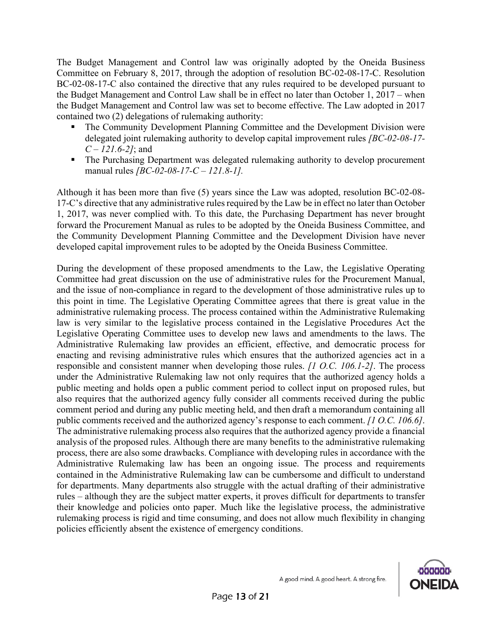The Budget Management and Control law was originally adopted by the Oneida Business Committee on February 8, 2017, through the adoption of resolution BC-02-08-17-C. Resolution BC-02-08-17-C also contained the directive that any rules required to be developed pursuant to the Budget Management and Control Law shall be in effect no later than October 1, 2017 – when the Budget Management and Control law was set to become effective. The Law adopted in 2017 contained two (2) delegations of rulemaking authority:

- The Community Development Planning Committee and the Development Division were delegated joint rulemaking authority to develop capital improvement rules *[BC-02-08-17- C – 121.6-2]*; and
- The Purchasing Department was delegated rulemaking authority to develop procurement manual rules *[BC-02-08-17-C – 121.8-1].*

Although it has been more than five (5) years since the Law was adopted, resolution BC-02-08- 17-C's directive that any administrative rules required by the Law be in effect no later than October 1, 2017, was never complied with. To this date, the Purchasing Department has never brought forward the Procurement Manual as rules to be adopted by the Oneida Business Committee, and the Community Development Planning Committee and the Development Division have never developed capital improvement rules to be adopted by the Oneida Business Committee.

During the development of these proposed amendments to the Law, the Legislative Operating Committee had great discussion on the use of administrative rules for the Procurement Manual, and the issue of non-compliance in regard to the development of those administrative rules up to this point in time. The Legislative Operating Committee agrees that there is great value in the administrative rulemaking process. The process contained within the Administrative Rulemaking law is very similar to the legislative process contained in the Legislative Procedures Act the Legislative Operating Committee uses to develop new laws and amendments to the laws. The Administrative Rulemaking law provides an efficient, effective, and democratic process for enacting and revising administrative rules which ensures that the authorized agencies act in a responsible and consistent manner when developing those rules. *[1 O.C. 106.1-2]*. The process under the Administrative Rulemaking law not only requires that the authorized agency holds a public meeting and holds open a public comment period to collect input on proposed rules, but also requires that the authorized agency fully consider all comments received during the public comment period and during any public meeting held, and then draft a memorandum containing all public comments received and the authorized agency's response to each comment. *[1 O.C. 106.6]*. The administrative rulemaking process also requires that the authorized agency provide a financial analysis of the proposed rules. Although there are many benefits to the administrative rulemaking process, there are also some drawbacks. Compliance with developing rules in accordance with the Administrative Rulemaking law has been an ongoing issue. The process and requirements contained in the Administrative Rulemaking law can be cumbersome and difficult to understand for departments. Many departments also struggle with the actual drafting of their administrative rules – although they are the subject matter experts, it proves difficult for departments to transfer their knowledge and policies onto paper. Much like the legislative process, the administrative rulemaking process is rigid and time consuming, and does not allow much flexibility in changing policies efficiently absent the existence of emergency conditions.

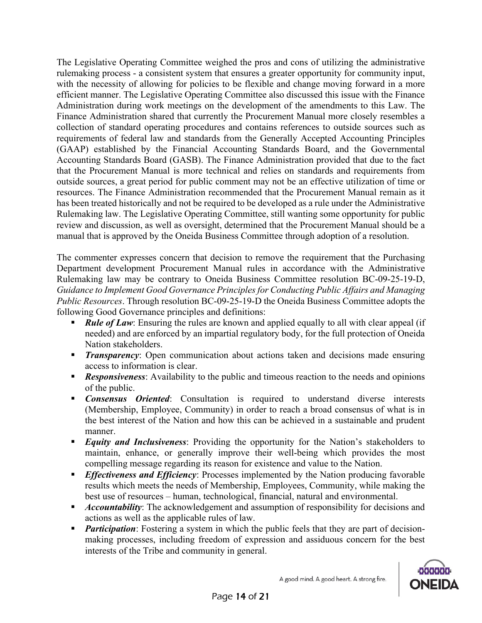The Legislative Operating Committee weighed the pros and cons of utilizing the administrative rulemaking process - a consistent system that ensures a greater opportunity for community input, with the necessity of allowing for policies to be flexible and change moving forward in a more efficient manner. The Legislative Operating Committee also discussed this issue with the Finance Administration during work meetings on the development of the amendments to this Law. The Finance Administration shared that currently the Procurement Manual more closely resembles a collection of standard operating procedures and contains references to outside sources such as requirements of federal law and standards from the Generally Accepted Accounting Principles (GAAP) established by the Financial Accounting Standards Board, and the Governmental Accounting Standards Board (GASB). The Finance Administration provided that due to the fact that the Procurement Manual is more technical and relies on standards and requirements from outside sources, a great period for public comment may not be an effective utilization of time or resources. The Finance Administration recommended that the Procurement Manual remain as it has been treated historically and not be required to be developed as a rule under the Administrative Rulemaking law. The Legislative Operating Committee, still wanting some opportunity for public review and discussion, as well as oversight, determined that the Procurement Manual should be a manual that is approved by the Oneida Business Committee through adoption of a resolution.

The commenter expresses concern that decision to remove the requirement that the Purchasing Department development Procurement Manual rules in accordance with the Administrative Rulemaking law may be contrary to Oneida Business Committee resolution BC-09-25-19-D, *Guidance to Implement Good Governance Principles for Conducting Public Affairs and Managing Public Resources*. Through resolution BC-09-25-19-D the Oneida Business Committee adopts the following Good Governance principles and definitions:

- *Rule of Law*: Ensuring the rules are known and applied equally to all with clear appeal (if needed) and are enforced by an impartial regulatory body, for the full protection of Oneida Nation stakeholders.
- **Transparency:** Open communication about actions taken and decisions made ensuring access to information is clear.
- **Responsiveness:** Availability to the public and timeous reaction to the needs and opinions of the public.
- **Consensus Oriented:** Consultation is required to understand diverse interests (Membership, Employee, Community) in order to reach a broad consensus of what is in the best interest of the Nation and how this can be achieved in a sustainable and prudent manner.
- *Equity and Inclusiveness*: Providing the opportunity for the Nation's stakeholders to maintain, enhance, or generally improve their well-being which provides the most compelling message regarding its reason for existence and value to the Nation.
- **Effectiveness and Efficiency:** Processes implemented by the Nation producing favorable results which meets the needs of Membership, Employees, Community, while making the best use of resources – human, technological, financial, natural and environmental.
- *Accountability*: The acknowledgement and assumption of responsibility for decisions and actions as well as the applicable rules of law.
- *Participation*: Fostering a system in which the public feels that they are part of decisionmaking processes, including freedom of expression and assiduous concern for the best interests of the Tribe and community in general.

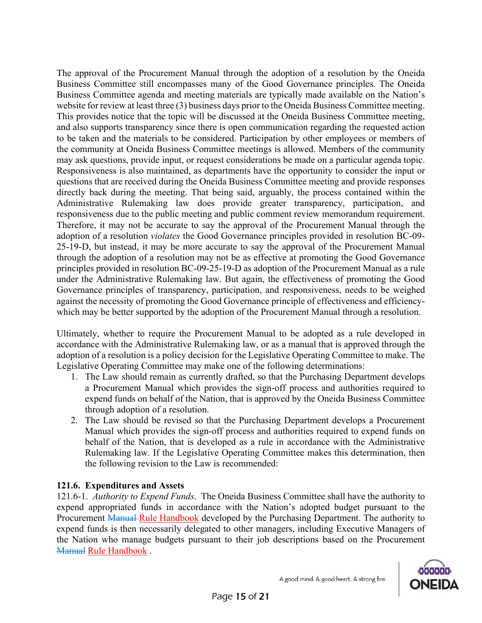The approval of the Procurement Manual through the adoption of a resolution by the Oneida Business Committee still encompasses many of the Good Governance principles. The Oneida Business Committee agenda and meeting materials are typically made available on the Nation's website for review at least three (3) business days prior to the Oneida Business Committee meeting. This provides notice that the topic will be discussed at the Oneida Business Committee meeting, and also supports transparency since there is open communication regarding the requested action to be taken and the materials to be considered. Participation by other employees or members of the community at Oneida Business Committee meetings is allowed. Members of the community may ask questions, provide input, or request considerations be made on a particular agenda topic. Responsiveness is also maintained, as departments have the opportunity to consider the input or questions that are received during the Oneida Business Committee meeting and provide responses directly back during the meeting. That being said, arguably, the process contained within the Administrative Rulemaking law does provide greater transparency, participation, and responsiveness due to the public meeting and public comment review memorandum requirement. Therefore, it may not be accurate to say the approval of the Procurement Manual through the adoption of a resolution *violates* the Good Governance principles provided in resolution BC-09- 25-19-D, but instead, it may be more accurate to say the approval of the Procurement Manual through the adoption of a resolution may not be as effective at promoting the Good Governance principles provided in resolution BC-09-25-19-D as adoption of the Procurement Manual as a rule under the Administrative Rulemaking law. But again, the effectiveness of promoting the Good Governance principles of transparency, participation, and responsiveness, needs to be weighed against the necessity of promoting the Good Governance principle of effectiveness and efficiencywhich may be better supported by the adoption of the Procurement Manual through a resolution.

Ultimately, whether to require the Procurement Manual to be adopted as a rule developed in accordance with the Administrative Rulemaking law, or as a manual that is approved through the adoption of a resolution is a policy decision for the Legislative Operating Committee to make. The Legislative Operating Committee may make one of the following determinations:

- 1. The Law should remain as currently drafted, so that the Purchasing Department develops a Procurement Manual which provides the sign-off process and authorities required to expend funds on behalf of the Nation, that is approved by the Oneida Business Committee through adoption of a resolution.
- 2. The Law should be revised so that the Purchasing Department develops a Procurement Manual which provides the sign-off process and authorities required to expend funds on behalf of the Nation, that is developed as a rule in accordance with the Administrative Rulemaking law. If the Legislative Operating Committee makes this determination, then the following revision to the Law is recommended:

# **121.6. Expenditures and Assets**

121.6-1. *Authority to Expend Funds*. The Oneida Business Committee shall have the authority to expend appropriated funds in accordance with the Nation's adopted budget pursuant to the Procurement Manual Rule Handbook developed by the Purchasing Department. The authority to expend funds is then necessarily delegated to other managers, including Executive Managers of the Nation who manage budgets pursuant to their job descriptions based on the Procurement Manual Rule Handbook .

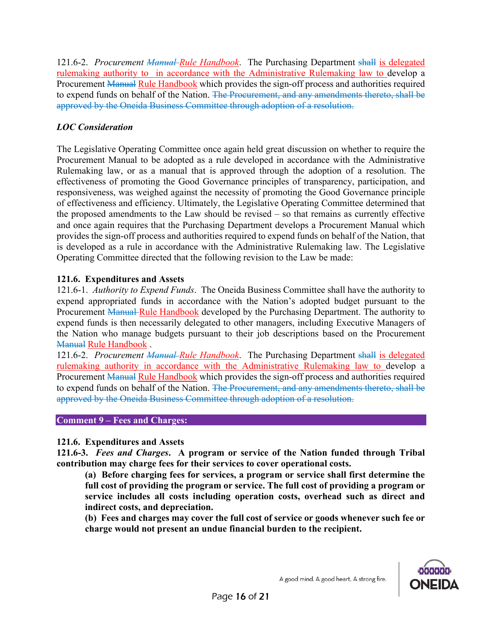121.6-2. *Procurement Manual-Rule Handbook*. The Purchasing Department shall is delegated rulemaking authority to in accordance with the Administrative Rulemaking law to develop a Procurement Manual Rule Handbook which provides the sign-off process and authorities required to expend funds on behalf of the Nation. The Procurement, and any amendments thereto, shall be approved by the Oneida Business Committee through adoption of a resolution.

# *LOC Consideration*

The Legislative Operating Committee once again held great discussion on whether to require the Procurement Manual to be adopted as a rule developed in accordance with the Administrative Rulemaking law, or as a manual that is approved through the adoption of a resolution. The effectiveness of promoting the Good Governance principles of transparency, participation, and responsiveness, was weighed against the necessity of promoting the Good Governance principle of effectiveness and efficiency. Ultimately, the Legislative Operating Committee determined that the proposed amendments to the Law should be revised – so that remains as currently effective and once again requires that the Purchasing Department develops a Procurement Manual which provides the sign-off process and authorities required to expend funds on behalf of the Nation, that is developed as a rule in accordance with the Administrative Rulemaking law. The Legislative Operating Committee directed that the following revision to the Law be made:

# **121.6. Expenditures and Assets**

121.6-1. *Authority to Expend Funds*. The Oneida Business Committee shall have the authority to expend appropriated funds in accordance with the Nation's adopted budget pursuant to the Procurement Manual Rule Handbook developed by the Purchasing Department. The authority to expend funds is then necessarily delegated to other managers, including Executive Managers of the Nation who manage budgets pursuant to their job descriptions based on the Procurement Manual Rule Handbook .

121.6-2. *Procurement Manual Rule Handbook*. The Purchasing Department shall is delegated rulemaking authority in accordance with the Administrative Rulemaking law to develop a Procurement Manual Rule Handbook which provides the sign-off process and authorities required to expend funds on behalf of the Nation. The Procurement, and any amendments thereto, shall be approved by the Oneida Business Committee through adoption of a resolution.

### **Comment 9 – Fees and Charges:**

### **121.6. Expenditures and Assets**

**121.6-3.** *Fees and Charges***. A program or service of the Nation funded through Tribal contribution may charge fees for their services to cover operational costs.**

**(a) Before charging fees for services, a program or service shall first determine the full cost of providing the program or service. The full cost of providing a program or service includes all costs including operation costs, overhead such as direct and indirect costs, and depreciation.** 

**(b) Fees and charges may cover the full cost of service or goods whenever such fee or charge would not present an undue financial burden to the recipient.** 

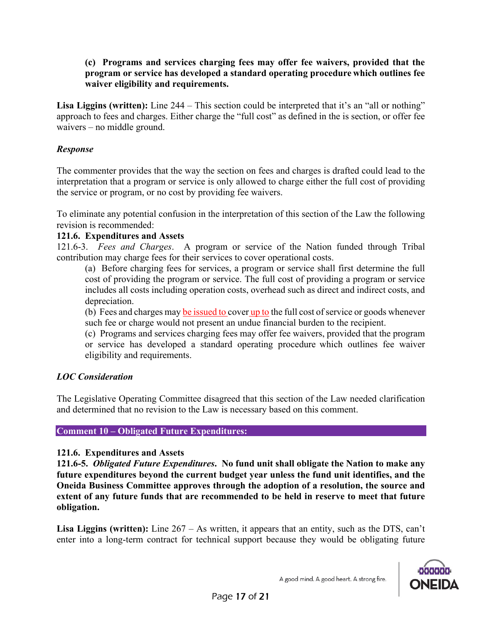#### **(c) Programs and services charging fees may offer fee waivers, provided that the program or service has developed a standard operating procedure which outlines fee waiver eligibility and requirements.**

**Lisa Liggins (written):** Line 244 – This section could be interpreted that it's an "all or nothing" approach to fees and charges. Either charge the "full cost" as defined in the is section, or offer fee waivers – no middle ground.

### *Response*

The commenter provides that the way the section on fees and charges is drafted could lead to the interpretation that a program or service is only allowed to charge either the full cost of providing the service or program, or no cost by providing fee waivers.

To eliminate any potential confusion in the interpretation of this section of the Law the following revision is recommended:

### **121.6. Expenditures and Assets**

121.6-3. *Fees and Charges*. A program or service of the Nation funded through Tribal contribution may charge fees for their services to cover operational costs.

(a) Before charging fees for services, a program or service shall first determine the full cost of providing the program or service. The full cost of providing a program or service includes all costs including operation costs, overhead such as direct and indirect costs, and depreciation.

(b) Fees and charges may be issued to cover up to the full cost of service or goods whenever such fee or charge would not present an undue financial burden to the recipient.

(c) Programs and services charging fees may offer fee waivers, provided that the program or service has developed a standard operating procedure which outlines fee waiver eligibility and requirements.

# *LOC Consideration*

The Legislative Operating Committee disagreed that this section of the Law needed clarification and determined that no revision to the Law is necessary based on this comment.

### **Comment 10 – Obligated Future Expenditures:**

### **121.6. Expenditures and Assets**

**121.6-5.** *Obligated Future Expenditures***. No fund unit shall obligate the Nation to make any future expenditures beyond the current budget year unless the fund unit identifies, and the Oneida Business Committee approves through the adoption of a resolution, the source and extent of any future funds that are recommended to be held in reserve to meet that future obligation.**

**Lisa Liggins (written):** Line 267 – As written, it appears that an entity, such as the DTS, can't enter into a long-term contract for technical support because they would be obligating future



A good mind. A good heart. A strong fire.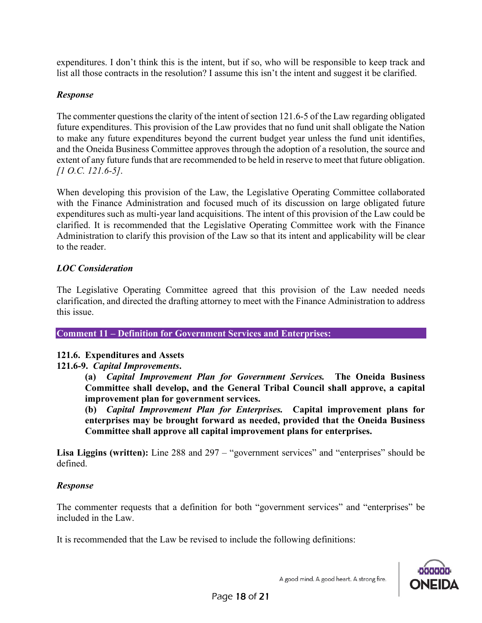expenditures. I don't think this is the intent, but if so, who will be responsible to keep track and list all those contracts in the resolution? I assume this isn't the intent and suggest it be clarified.

### *Response*

The commenter questions the clarity of the intent of section 121.6-5 of the Law regarding obligated future expenditures. This provision of the Law provides that no fund unit shall obligate the Nation to make any future expenditures beyond the current budget year unless the fund unit identifies, and the Oneida Business Committee approves through the adoption of a resolution, the source and extent of any future funds that are recommended to be held in reserve to meet that future obligation. *[1 O.C. 121.6-5]*.

When developing this provision of the Law, the Legislative Operating Committee collaborated with the Finance Administration and focused much of its discussion on large obligated future expenditures such as multi-year land acquisitions. The intent of this provision of the Law could be clarified. It is recommended that the Legislative Operating Committee work with the Finance Administration to clarify this provision of the Law so that its intent and applicability will be clear to the reader.

## *LOC Consideration*

The Legislative Operating Committee agreed that this provision of the Law needed needs clarification, and directed the drafting attorney to meet with the Finance Administration to address this issue.

**Comment 11 – Definition for Government Services and Enterprises:**

### **121.6. Expenditures and Assets**

### **121.6-9.** *Capital Improvements***.**

**(a)** *Capital Improvement Plan for Government Services.* **The Oneida Business Committee shall develop, and the General Tribal Council shall approve, a capital improvement plan for government services.**

**(b)** *Capital Improvement Plan for Enterprises.* **Capital improvement plans for enterprises may be brought forward as needed, provided that the Oneida Business Committee shall approve all capital improvement plans for enterprises.**

**Lisa Liggins (written):** Line 288 and 297 – "government services" and "enterprises" should be defined.

### *Response*

The commenter requests that a definition for both "government services" and "enterprises" be included in the Law.

It is recommended that the Law be revised to include the following definitions:

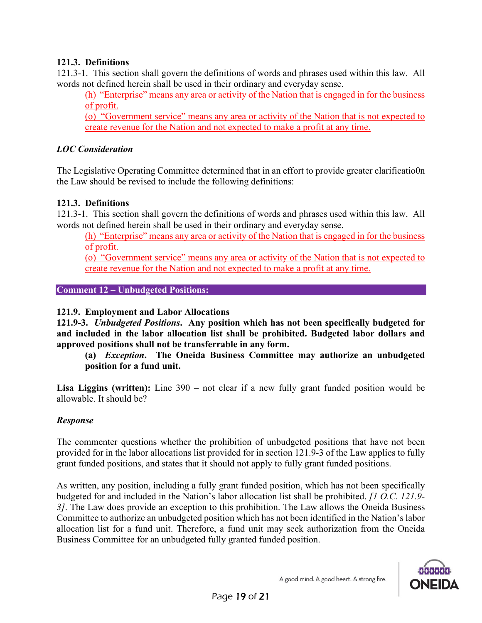## **121.3. Definitions**

121.3-1. This section shall govern the definitions of words and phrases used within this law. All words not defined herein shall be used in their ordinary and everyday sense.

(h) "Enterprise" means any area or activity of the Nation that is engaged in for the business of profit.

(o) "Government service" means any area or activity of the Nation that is not expected to create revenue for the Nation and not expected to make a profit at any time.

## *LOC Consideration*

The Legislative Operating Committee determined that in an effort to provide greater clarificatio0n the Law should be revised to include the following definitions:

## **121.3. Definitions**

121.3-1. This section shall govern the definitions of words and phrases used within this law. All words not defined herein shall be used in their ordinary and everyday sense.

(h) "Enterprise" means any area or activity of the Nation that is engaged in for the business of profit.

(o) "Government service" means any area or activity of the Nation that is not expected to create revenue for the Nation and not expected to make a profit at any time.

**Comment 12 – Unbudgeted Positions:**

### **121.9. Employment and Labor Allocations**

**121.9-3.** *Unbudgeted Positions***. Any position which has not been specifically budgeted for and included in the labor allocation list shall be prohibited. Budgeted labor dollars and approved positions shall not be transferrable in any form.**

**(a)** *Exception***. The Oneida Business Committee may authorize an unbudgeted position for a fund unit.**

**Lisa Liggins (written):** Line 390 – not clear if a new fully grant funded position would be allowable. It should be?

### *Response*

The commenter questions whether the prohibition of unbudgeted positions that have not been provided for in the labor allocations list provided for in section 121.9-3 of the Law applies to fully grant funded positions, and states that it should not apply to fully grant funded positions.

As written, any position, including a fully grant funded position, which has not been specifically budgeted for and included in the Nation's labor allocation list shall be prohibited. *[1 O.C. 121.9- 3]*. The Law does provide an exception to this prohibition. The Law allows the Oneida Business Committee to authorize an unbudgeted position which has not been identified in the Nation's labor allocation list for a fund unit. Therefore, a fund unit may seek authorization from the Oneida Business Committee for an unbudgeted fully granted funded position.

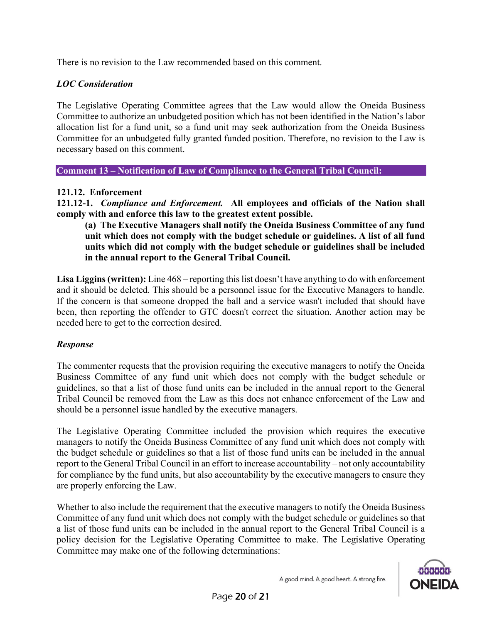There is no revision to the Law recommended based on this comment.

### *LOC Consideration*

The Legislative Operating Committee agrees that the Law would allow the Oneida Business Committee to authorize an unbudgeted position which has not been identified in the Nation's labor allocation list for a fund unit, so a fund unit may seek authorization from the Oneida Business Committee for an unbudgeted fully granted funded position. Therefore, no revision to the Law is necessary based on this comment.

**Comment 13 – Notification of Law of Compliance to the General Tribal Council:**

#### **121.12. Enforcement**

**121.12-1.** *Compliance and Enforcement.* **All employees and officials of the Nation shall comply with and enforce this law to the greatest extent possible.**

**(a) The Executive Managers shall notify the Oneida Business Committee of any fund unit which does not comply with the budget schedule or guidelines. A list of all fund units which did not comply with the budget schedule or guidelines shall be included in the annual report to the General Tribal Council.**

Lisa Liggins (written): Line  $468$  – reporting this list doesn't have anything to do with enforcement and it should be deleted. This should be a personnel issue for the Executive Managers to handle. If the concern is that someone dropped the ball and a service wasn't included that should have been, then reporting the offender to GTC doesn't correct the situation. Another action may be needed here to get to the correction desired.

#### *Response*

The commenter requests that the provision requiring the executive managers to notify the Oneida Business Committee of any fund unit which does not comply with the budget schedule or guidelines, so that a list of those fund units can be included in the annual report to the General Tribal Council be removed from the Law as this does not enhance enforcement of the Law and should be a personnel issue handled by the executive managers.

The Legislative Operating Committee included the provision which requires the executive managers to notify the Oneida Business Committee of any fund unit which does not comply with the budget schedule or guidelines so that a list of those fund units can be included in the annual report to the General Tribal Council in an effort to increase accountability – not only accountability for compliance by the fund units, but also accountability by the executive managers to ensure they are properly enforcing the Law.

Whether to also include the requirement that the executive managers to notify the Oneida Business Committee of any fund unit which does not comply with the budget schedule or guidelines so that a list of those fund units can be included in the annual report to the General Tribal Council is a policy decision for the Legislative Operating Committee to make. The Legislative Operating Committee may make one of the following determinations: